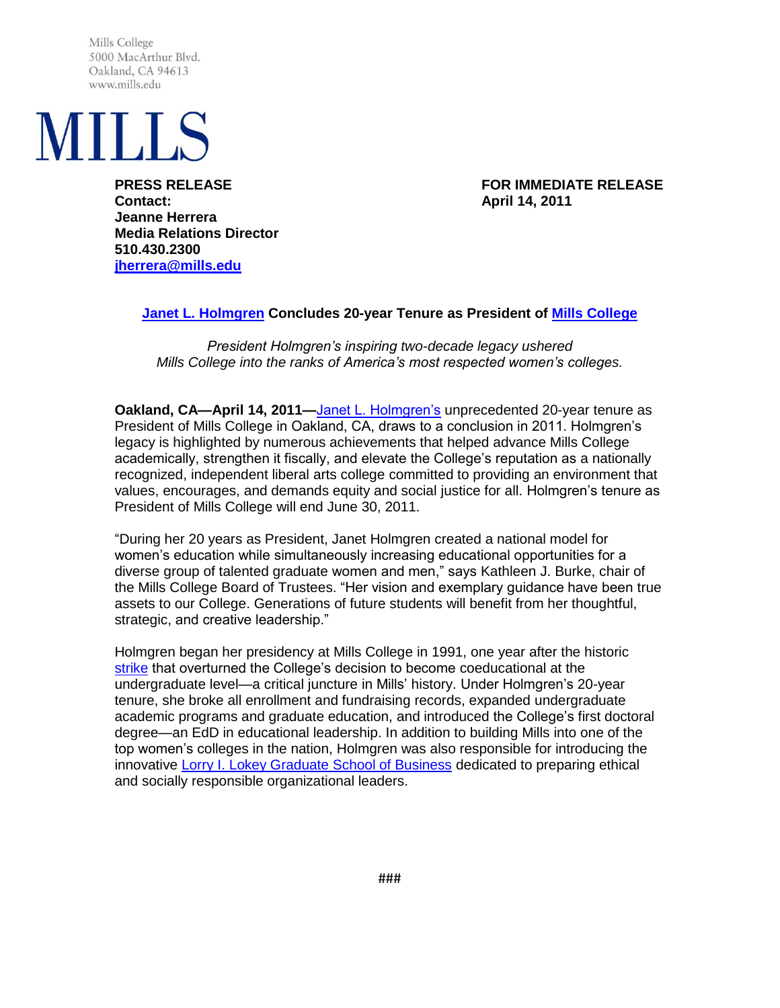Mills College 5000 MacArthur Blvd. Oakland, CA 94613 www.mills.edu



**Contact: April 14, 2011 Jeanne Herrera Media Relations Director 510.430.2300 [jherrera@mills.edu](mailto:jherrera@mills.edu)**

**PRESS RELEASE FOR IMMEDIATE RELEASE**

## **[Janet L. Holmgren](http://www.mills.edu/administration/presidents_office/bio.php) Concludes 20-year Tenure as President of [Mills College](http://www.mills.edu/)**

*President Holmgren's inspiring two-decade legacy ushered Mills College into the ranks of America's most respected women's colleges.*

**Oakland, CA—April 14, 2011—**[Janet L. Holmgren's](http://www.mills.edu/administration/presidents_office/bio.php) unprecedented 20-year tenure as President of Mills College in Oakland, CA, draws to a conclusion in 2011. Holmgren's legacy is highlighted by numerous achievements that helped advance Mills College academically, strengthen it fiscally, and elevate the College's reputation as a nationally recognized, independent liberal arts college committed to providing an environment that values, encourages, and demands equity and social justice for all. Holmgren's tenure as President of Mills College will end June 30, 2011.

―During her 20 years as President, Janet Holmgren created a national model for women's education while simultaneously increasing educational opportunities for a diverse group of talented graduate women and men," says Kathleen J. Burke, chair of the Mills College Board of Trustees. "Her vision and exemplary guidance have been true assets to our College. Generations of future students will benefit from her thoughtful, strategic, and creative leadership."

Holmgren began her presidency at Mills College in 1991, one year after the historic [strike](http://www.mills.edu/news/2010/strike.php) that overturned the College's decision to become coeducational at the undergraduate level—a critical juncture in Mills' history. Under Holmgren's 20-year tenure, she broke all enrollment and fundraising records, expanded undergraduate academic programs and graduate education, and introduced the College's first doctoral degree—an EdD in educational leadership. In addition to building Mills into one of the top women's colleges in the nation, Holmgren was also responsible for introducing the innovative [Lorry I. Lokey Graduate School of Business](http://www.mills.edu/academics/graduate/mba/) dedicated to preparing ethical and socially responsible organizational leaders.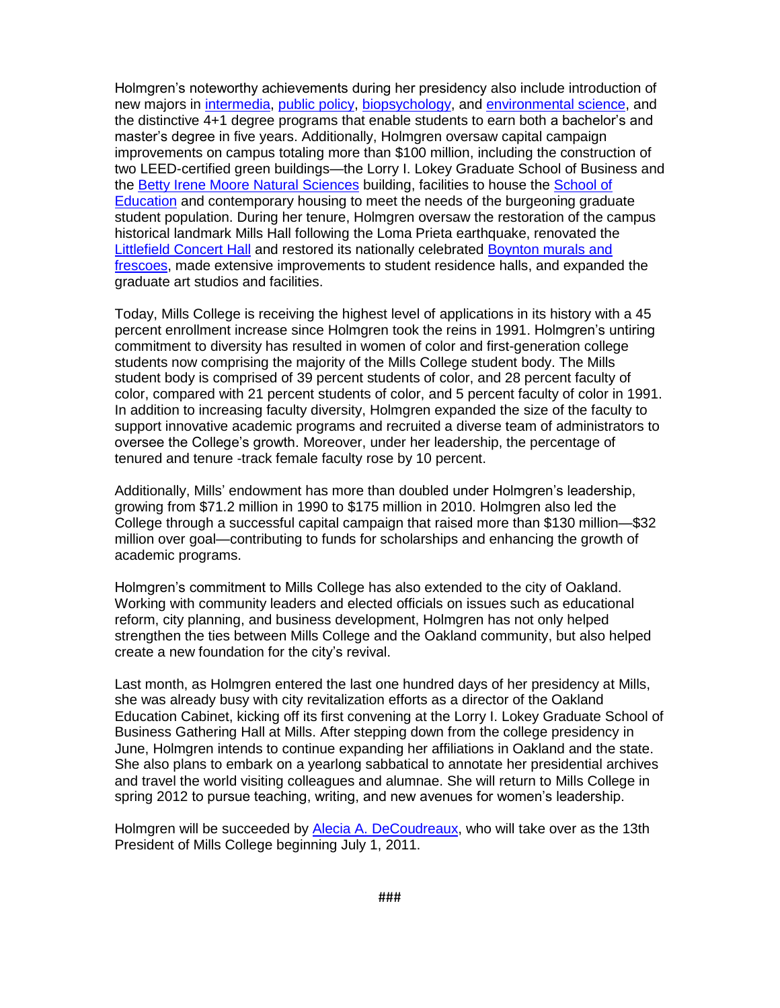Holmgren's noteworthy achievements during her presidency also include introduction of new majors in [intermedia,](http://www.mills.edu/academics/undergraduate/iart/) [public policy,](http://www.mills.edu/academics/undergraduate/ppol/) [biopsychology,](http://www.mills.edu/academics/undergraduate/biopsyc/) and [environmental science,](http://www.mills.edu/academics/undergraduate/envs/) and the distinctive 4+1 degree programs that enable students to earn both a bachelor's and master's degree in five years. Additionally, Holmgren oversaw capital campaign improvements on campus totaling more than \$100 million, including the construction of two LEED-certified green buildings—the Lorry I. Lokey Graduate School of Business and the [Betty Irene Moore Natural Sciences](http://www.mills.edu/academics/graduate/bcm/) building, facilities to house the [School of](http://www.mills.edu/academics/graduate/educ/)  [Education](http://www.mills.edu/academics/graduate/educ/) and contemporary housing to meet the needs of the burgeoning graduate student population. During her tenure, Holmgren oversaw the restoration of the campus historical landmark Mills Hall following the Loma Prieta earthquake, renovated the [Littlefield Concert Hall](http://musicnow.mills.edu/architecture.php) and restored its nationally celebrated [Boynton murals and](http://musicnow.mills.edu/murals.php)  [frescoes,](http://musicnow.mills.edu/murals.php) made extensive improvements to student residence halls, and expanded the graduate art studios and facilities.

Today, Mills College is receiving the highest level of applications in its history with a 45 percent enrollment increase since Holmgren took the reins in 1991. Holmgren's untiring commitment to diversity has resulted in women of color and first-generation college students now comprising the majority of the Mills College student body. The Mills student body is comprised of 39 percent students of color, and 28 percent faculty of color, compared with 21 percent students of color, and 5 percent faculty of color in 1991. In addition to increasing faculty diversity, Holmgren expanded the size of the faculty to support innovative academic programs and recruited a diverse team of administrators to oversee the College's growth. Moreover, under her leadership, the percentage of tenured and tenure -track female faculty rose by 10 percent.

Additionally, Mills' endowment has more than doubled under Holmgren's leadership, growing from \$71.2 million in 1990 to \$175 million in 2010. Holmgren also led the College through a successful capital campaign that raised more than \$130 million—\$32 million over goal—contributing to funds for scholarships and enhancing the growth of academic programs.

Holmgren's commitment to Mills College has also extended to the city of Oakland. Working with community leaders and elected officials on issues such as educational reform, city planning, and business development, Holmgren has not only helped strengthen the ties between Mills College and the Oakland community, but also helped create a new foundation for the city's revival.

Last month, as Holmgren entered the last one hundred days of her presidency at Mills, she was already busy with city revitalization efforts as a director of the Oakland Education Cabinet, kicking off its first convening at the Lorry I. Lokey Graduate School of Business Gathering Hall at Mills. After stepping down from the college presidency in June, Holmgren intends to continue expanding her affiliations in Oakland and the state. She also plans to embark on a yearlong sabbatical to annotate her presidential archives and travel the world visiting colleagues and alumnae. She will return to Mills College in spring 2012 to pursue teaching, writing, and new avenues for women's leadership.

Holmgren will be succeeded by [Alecia A. DeCoudreaux,](http://www.mills.edu/newpresident/) who will take over as the 13th President of Mills College beginning July 1, 2011.